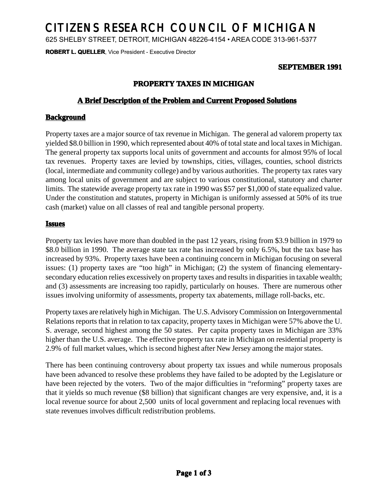# CITIZENS RESEARCH COUNCIL OF MICHIGAN

625 SHELBY STREET, DETROIT, MICHIGAN 48226-4154 • AREA CODE 313-961-5377

**ROBERT L. QUELLER, Vice President - Executive Director** 

### **SEPTEMBER 1991**

## **PROPERTY TAXES IN MICHIGAN**

#### **A Brief Description of the Problem and Current Proposed Solutions**

#### **Background**

Property taxes are a major source of tax revenue in Michigan. The general ad valorem property tax yielded \$8.0 billion in 1990, which represented about 40% oftotal state and local taxes in Michigan. The general property tax supports local units of government and accounts for almost 95% of local tax revenues. Property taxes are levied by townships, cities, villages, counties, school districts (local, intermediate and community college) and by various authorities. The property tax rates vary among local units of government and are subject to various constitutional, statutory and charter limits. The statewide average property tax rate in 1990 was \$57 per \$1,000 of state equalized value. Under the constitution and statutes, property in Michigan is uniformly assessed at 50% of its true cash (market) value on all classes of real and tangible personal property.

#### **Issues**

Property tax levies have more than doubled in the past 12 years, rising from \$3.9 billion in 1979 to \$8.0 billion in 1990. The average state tax rate has increased by only 6.5%, but the tax base has increased by 93%. Property taxes have been a continuing concern in Michigan focusing on several issues: (1) property taxes are "too high" in Michigan; (2) the system of financing elementarysecondary education relies excessively on property taxes and results in disparities in taxable wealth; and (3) assessments are increasing too rapidly, particularly on houses. There are numerous other issues involving uniformity of assessments, property tax abatements, millage roll-backs, etc.

Property taxes are relatively high in Michigan. The U.S. Advisory Commission on Intergovernmental Relations reports that in relation to tax capacity, property taxes in Michigan were 57% above the U. S. average, second highest among the 50 states. Per capita property taxes in Michigan are 33% higher than the U.S. average. The effective property tax rate in Michigan on residential property is 2.9% of full market values, which is second highest after New Jersey among the major states.

There has been continuing controversy about property tax issues and while numerous proposals have been advanced to resolve these problems they have failed to be adopted by the Legislature or have been rejected by the voters. Two of the major difficulties in "reforming" property taxes are that it yields so much revenue (\$8 billion) that significant changes are very expensive, and, it is a local revenue source for about 2,500 units of local government and replacing local revenues with state revenues involves difficult redistribution problems.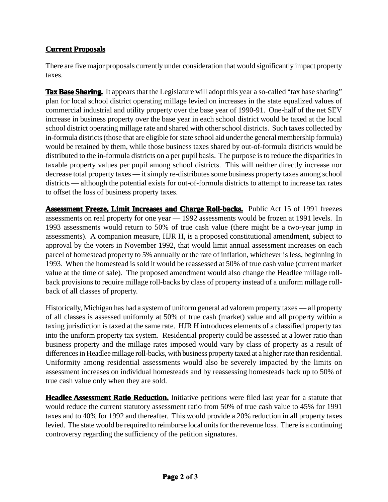## **Current Proposals oposals**

There are five major proposals currently under consideration that would significantly impact property taxes.

**Tax Base Sharing.** It appears that the Legislature will adopt this year a so-called "tax base sharing" plan for local school district operating millage levied on increases in the state equalized values of commercial industrial and utility property over the base year of 1990-91. One-half of the net SEV increase in business property over the base year in each school district would be taxed at the local school district operating millage rate and shared with other school districts. Such taxes collected by in-formula districts (those that are eligible for state school aid under the general membership formula) would be retained by them, while those business taxes shared by out-of-formula districts would be distributed to the in-formula districts on a per pupil basis. The purpose is to reduce the disparities in taxable property values per pupil among school districts. This will neither directly increase nor decrease total property taxes — it simply re-distributes some business property taxes among school districts — although the potential exists for out-of-formula districts to attempt to increase tax rates to offset the loss of business property taxes.

**Assessment Freeze, Limit Increases and Charge Roll-backs.** Public Act 15 of 1991 freezes assessments on real property for one year — 1992 assessments would be frozen at 1991 levels. In 1993 assessments would return to 50% of true cash value (there might be a two-year jump in assessments). A companion measure, HJR H, isa proposed constitutional amendment, subject to approval by the voters in November 1992, that would limit annual assessment increases on each parcel of homestead property to 5% annually or the rate of inflation, whichever is less, beginning in 1993. When the homestead is sold it would be reassessed at 50% of true cash value (current market value at the time of sale). The proposed amendment would also change the Headlee millage rollback provisions to require millage roll-backs by class of property instead of a uniform millage rollback of all classes of property.

Historically, Michigan has had a system of uniform general ad valorem property taxes — allproperty of all classes is assessed uniformly at 50% of true cash (market) value and all property within a taxing jurisdiction is taxed at the same rate. HJR H introduces elements of a classified property tax into the uniform property tax system. Residential property could be assessed at alower ratio than business property and the millage rates imposed would vary by class of property as a result of differences in Headlee millage roll-backs, with business property taxed at a higher rate than residential. Uniformity among residential assessments would also be severely impacted by the limits on assessment increases on individual homesteads and by reassessing homesteads back up to 50% of true cash value only when they are sold.

**Headlee Assessment Ratio Reduction.** Initiative petitions were filed last year for a statute that would reduce the current statutory assessment ratio from 50% of true cash value to 45% for 1991 taxes and to 40% for 1992 and thereafter. This would provide a 20% reduction in all property taxes levied. The state would be required to reimburse local units for the revenue loss. There is acontinuing controversy regarding the sufficiency of the petition signatures.